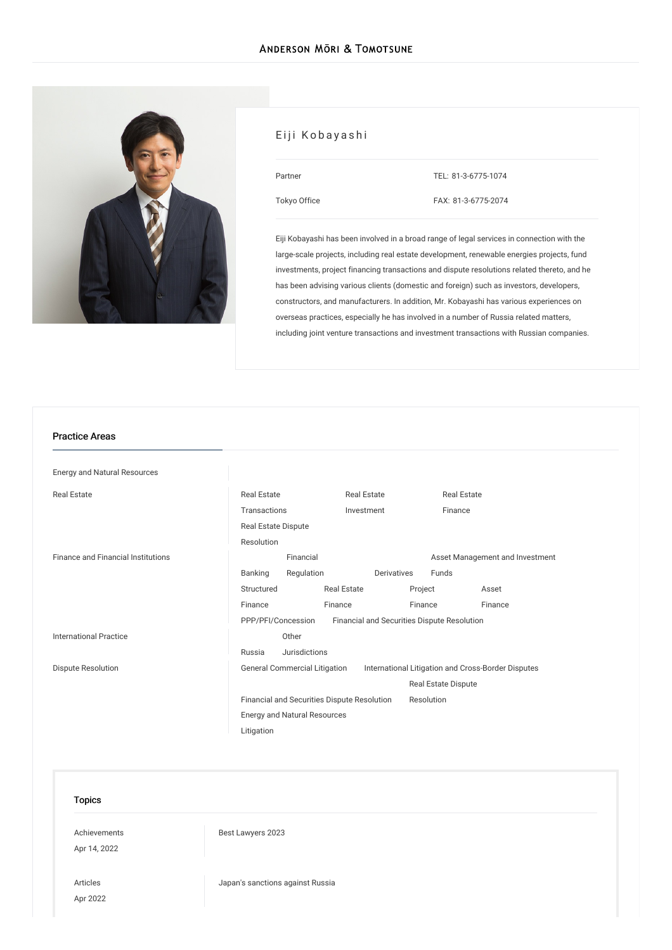

## Eiji Kobayashi

| Partner      |  |
|--------------|--|
| Tokyo Office |  |

TEL: [81-3-6775-1074](tel:81-3-6775-1074) FAX: 81-3-6775-2074

Eiji Kobayashi has been involved in a broad range of legal services in connection with the large-scale projects, including real estate development, renewable energies projects, fund investments, project financing transactions and dispute resolutions related thereto, and he has been advising various clients (domestic and foreign) such as investors, developers, constructors, and manufacturers. In addition, Mr. Kobayashi has various experiences on overseas practices, especially he has involved in a number of Russia related matters, including joint venture transactions and investment transactions with Russian companies.

#### Practice Areas

| <b>Energy and Natural Resources</b> |                                                                                            |               |                    |                                  |         |                                             |         |  |
|-------------------------------------|--------------------------------------------------------------------------------------------|---------------|--------------------|----------------------------------|---------|---------------------------------------------|---------|--|
| <b>Real Estate</b>                  | <b>Real Estate</b><br>Transactions                                                         |               |                    | <b>Real Estate</b><br>Investment |         | <b>Real Estate</b>                          |         |  |
|                                     |                                                                                            |               |                    |                                  |         | Finance                                     |         |  |
|                                     | Real Estate Dispute                                                                        |               |                    |                                  |         |                                             |         |  |
|                                     | Resolution                                                                                 |               |                    |                                  |         |                                             |         |  |
| Finance and Financial Institutions  | Financial                                                                                  |               |                    |                                  |         | Asset Management and Investment             |         |  |
|                                     | Banking                                                                                    | Regulation    |                    | Derivatives                      |         | Funds                                       |         |  |
|                                     | Structured                                                                                 |               | <b>Real Estate</b> |                                  | Project |                                             | Asset   |  |
|                                     | Finance                                                                                    |               | Finance            |                                  | Finance |                                             | Finance |  |
|                                     | PPP/PFI/Concession                                                                         |               |                    |                                  |         | Financial and Securities Dispute Resolution |         |  |
| <b>International Practice</b>       |                                                                                            | Other         |                    |                                  |         |                                             |         |  |
|                                     | Russia                                                                                     | Jurisdictions |                    |                                  |         |                                             |         |  |
| <b>Dispute Resolution</b>           | <b>General Commercial Litigation</b><br>International Litigation and Cross-Border Disputes |               |                    |                                  |         |                                             |         |  |
|                                     |                                                                                            |               |                    |                                  |         | Real Estate Dispute                         |         |  |
|                                     | Financial and Securities Dispute Resolution<br>Resolution                                  |               |                    |                                  |         |                                             |         |  |
|                                     | <b>Energy and Natural Resources</b>                                                        |               |                    |                                  |         |                                             |         |  |
|                                     | Litigation                                                                                 |               |                    |                                  |         |                                             |         |  |

### Topics

[Achievements](/en/news/achievements/) Apr 14, 2022

Best [Lawyers](/en/news/detail/news_0024840_en_001) 2023

[Articles](/en/publications/articles/) Apr 2022 Japan's [sanctions](/en/publications/detail/publication_0024825_en_001) against Russia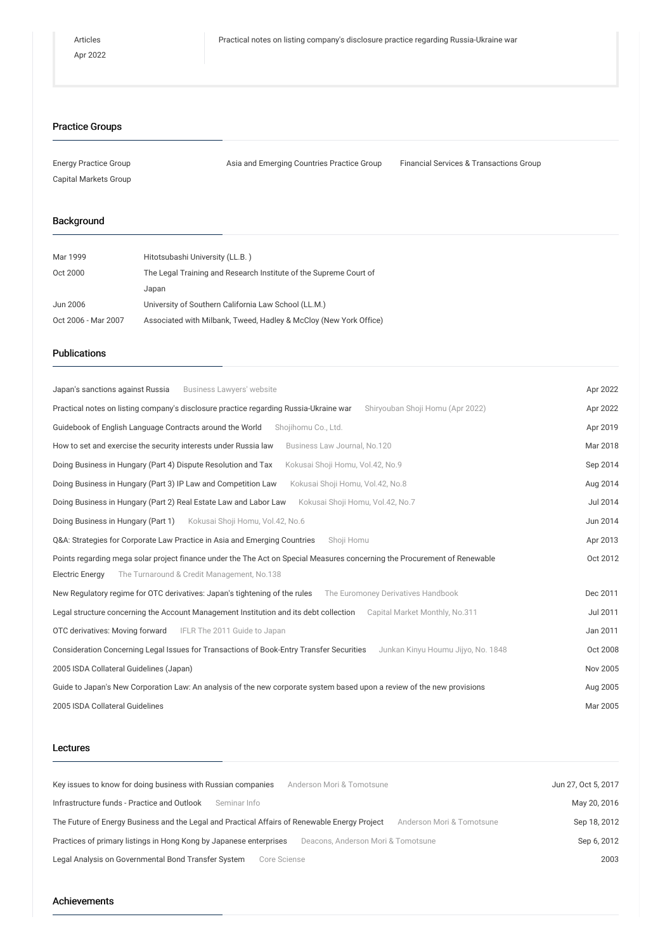## Practice Groups

| <b>Energy Practice Group</b> | Asia and Emerging Countries Practice Group | <b>Financial Services &amp; Transactions Group</b> |
|------------------------------|--------------------------------------------|----------------------------------------------------|
| Capital Markets Group        |                                            |                                                    |

## Background

| Mar 1999            | Hitotsubashi University (LL.B.)                                   |
|---------------------|-------------------------------------------------------------------|
| Oct 2000            | The Legal Training and Research Institute of the Supreme Court of |
|                     | Japan                                                             |
| Jun 2006            | University of Southern California Law School (LL.M.)              |
| Oct 2006 - Mar 2007 | Associated with Milbank, Tweed, Hadley & McCloy (New York Office) |

# Publications

| Japan's sanctions against Russia<br>Business Lawyers' website                                                                  | Apr 2022 |
|--------------------------------------------------------------------------------------------------------------------------------|----------|
| Practical notes on listing company's disclosure practice regarding Russia-Ukraine war<br>Shiryouban Shoji Homu (Apr 2022)      | Apr 2022 |
| Guidebook of English Language Contracts around the World<br>Shojihomu Co., Ltd.                                                | Apr 2019 |
| How to set and exercise the security interests under Russia law<br>Business Law Journal, No.120                                | Mar 2018 |
| Doing Business in Hungary (Part 4) Dispute Resolution and Tax<br>Kokusai Shoji Homu, Vol.42, No.9                              | Sep 2014 |
| Doing Business in Hungary (Part 3) IP Law and Competition Law<br>Kokusai Shoji Homu, Vol.42, No.8                              | Aug 2014 |
| Doing Business in Hungary (Part 2) Real Estate Law and Labor Law<br>Kokusai Shoji Homu, Vol.42, No.7                           | Jul 2014 |
| Doing Business in Hungary (Part 1)<br>Kokusai Shoji Homu, Vol.42, No.6                                                         | Jun 2014 |
| Q&A: Strategies for Corporate Law Practice in Asia and Emerging Countries<br>Shoji Homu                                        | Apr 2013 |
| Points regarding mega solar project finance under the The Act on Special Measures concerning the Procurement of Renewable      | Oct 2012 |
| <b>Electric Energy</b><br>The Turnaround & Credit Management, No.138                                                           |          |
| New Regulatory regime for OTC derivatives: Japan's tightening of the rules<br>The Euromoney Derivatives Handbook               | Dec 2011 |
| Legal structure concerning the Account Management Institution and its debt collection<br>Capital Market Monthly, No.311        | Jul 2011 |
| OTC derivatives: Moving forward<br>IFLR The 2011 Guide to Japan                                                                | Jan 2011 |
| Consideration Concerning Legal Issues for Transactions of Book-Entry Transfer Securities<br>Junkan Kinyu Houmu Jijyo, No. 1848 | Oct 2008 |
| 2005 ISDA Collateral Guidelines (Japan)                                                                                        | Nov 2005 |
| Guide to Japan's New Corporation Law: An analysis of the new corporate system based upon a review of the new provisions        | Aug 2005 |
| 2005 ISDA Collateral Guidelines                                                                                                | Mar 2005 |

## Lectures

| Key issues to know for doing business with Russian companies<br>Anderson Mori & Tomotsune                                  | Jun 27, Oct 5, 2017 |
|----------------------------------------------------------------------------------------------------------------------------|---------------------|
| Infrastructure funds - Practice and Outlook<br>Seminar Info                                                                | May 20, 2016        |
| The Future of Energy Business and the Legal and Practical Affairs of Renewable Energy Project<br>Anderson Mori & Tomotsune | Sep 18, 2012        |
| Practices of primary listings in Hong Kong by Japanese enterprises<br>Deacons, Anderson Mori & Tomotsune                   | Sep 6, 2012         |
| Legal Analysis on Governmental Bond Transfer System<br>Core Sciense                                                        | 2003                |

### Achievements